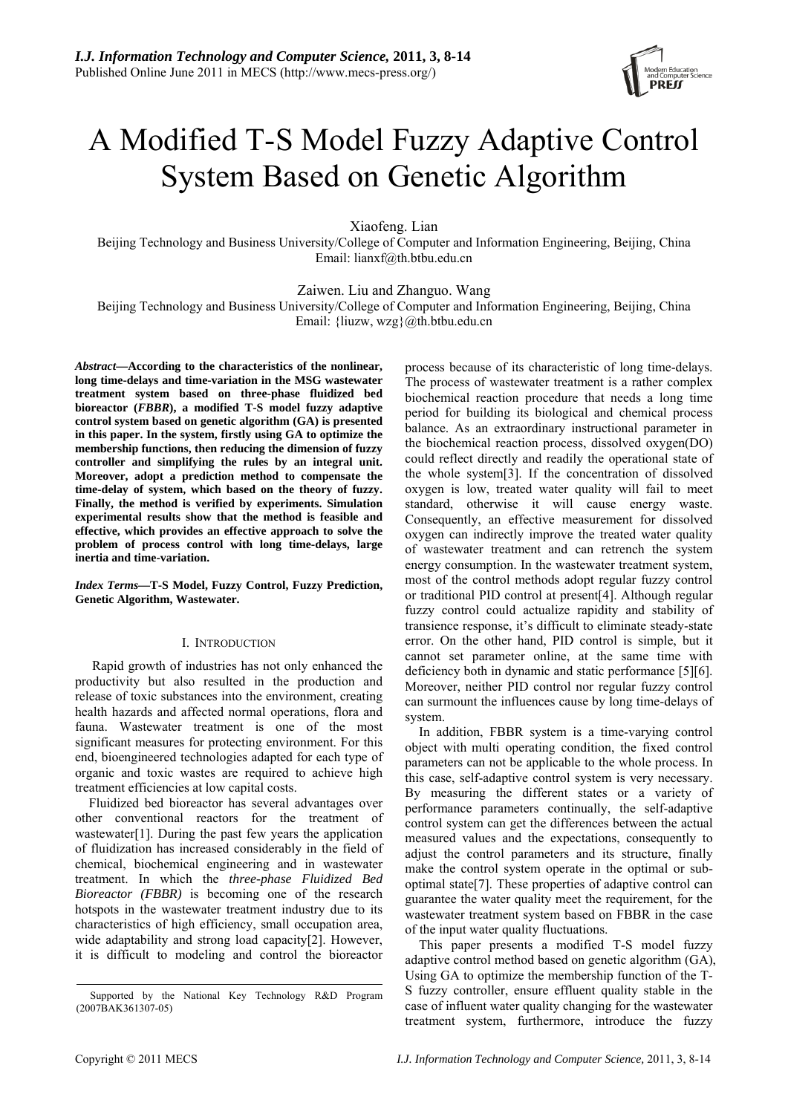

# A Modified T-S Model Fuzzy Adaptive Control System Based on Genetic Algorithm

Xiaofeng. Lian

Beijing Technology and Business University/College of Computer and Information Engineering, Beijing, China Email: lianxf@th.btbu.edu.cn

Zaiwen. Liu and Zhanguo. Wang

Beijing Technology and Business University/College of Computer and Information Engineering, Beijing, China Email: {liuzw, wzg}@th.btbu.edu.cn

*Abstract***—According to the characteristics of the nonlinear, long time-delays and time-variation in the MSG wastewater treatment system based on three-phase fluidized bed bioreactor (***FBBR***), a modified T-S model fuzzy adaptive control system based on genetic algorithm (GA) is presented in this paper. In the system, firstly using GA to optimize the membership functions, then reducing the dimension of fuzzy controller and simplifying the rules by an integral unit. Moreover, adopt a prediction method to compensate the time-delay of system, which based on the theory of fuzzy. Finally, the method is verified by experiments. Simulation experimental results show that the method is feasible and effective, which provides an effective approach to solve the problem of process control with long time-delays, large inertia and time-variation.** 

*Index Terms***—T-S Model, Fuzzy Control, Fuzzy Prediction, Genetic Algorithm, Wastewater.** 

# I. INTRODUCTION

 Rapid growth of industries has not only enhanced the productivity but also resulted in the production and release of toxic substances into the environment, creating health hazards and affected normal operations, flora and fauna. Wastewater treatment is one of the most significant measures for protecting environment. For this end, bioengineered technologies adapted for each type of organic and toxic wastes are required to achieve high treatment efficiencies at low capital costs.

Fluidized bed bioreactor has several advantages over other conventional reactors for the treatment of wastewater[1]. During the past few years the application of fluidization has increased considerably in the field of chemical, biochemical engineering and in wastewater treatment. In which the *three-phase Fluidized Bed Bioreactor (FBBR)* is becoming one of the research hotspots in the wastewater treatment industry due to its characteristics of high efficiency, small occupation area, wide adaptability and strong load capacity[2]. However, it is difficult to modeling and control the bioreactor process because of its characteristic of long time-delays. The process of wastewater treatment is a rather complex biochemical reaction procedure that needs a long time period for building its biological and chemical process balance. As an extraordinary instructional parameter in the biochemical reaction process, dissolved oxygen(DO) could reflect directly and readily the operational state of the whole system[3]. If the concentration of dissolved oxygen is low, treated water quality will fail to meet standard, otherwise it will cause energy waste. Consequently, an effective measurement for dissolved oxygen can indirectly improve the treated water quality of wastewater treatment and can retrench the system energy consumption. In the wastewater treatment system, most of the control methods adopt regular fuzzy control or traditional PID control at present[4]. Although regular fuzzy control could actualize rapidity and stability of transience response, it's difficult to eliminate steady-state error. On the other hand, PID control is simple, but it cannot set parameter online, at the same time with deficiency both in dynamic and static performance [5][6]. Moreover, neither PID control nor regular fuzzy control can surmount the influences cause by long time-delays of system.

In addition, FBBR system is a time-varying control object with multi operating condition, the fixed control parameters can not be applicable to the whole process. In this case, self-adaptive control system is very necessary. By measuring the different states or a variety of performance parameters continually, the self-adaptive control system can get the differences between the actual measured values and the expectations, consequently to adjust the control parameters and its structure, finally make the control system operate in the optimal or suboptimal state[7]. These properties of adaptive control can guarantee the water quality meet the requirement, for the wastewater treatment system based on FBBR in the case of the input water quality fluctuations.

This paper presents a modified T-S model fuzzy adaptive control method based on genetic algorithm (GA), Using GA to optimize the membership function of the T-S fuzzy controller, ensure effluent quality stable in the case of influent water quality changing for the wastewater treatment system, furthermore, introduce the fuzzy

Supported by the National Key Technology R&D Program (2007BAK361307-05)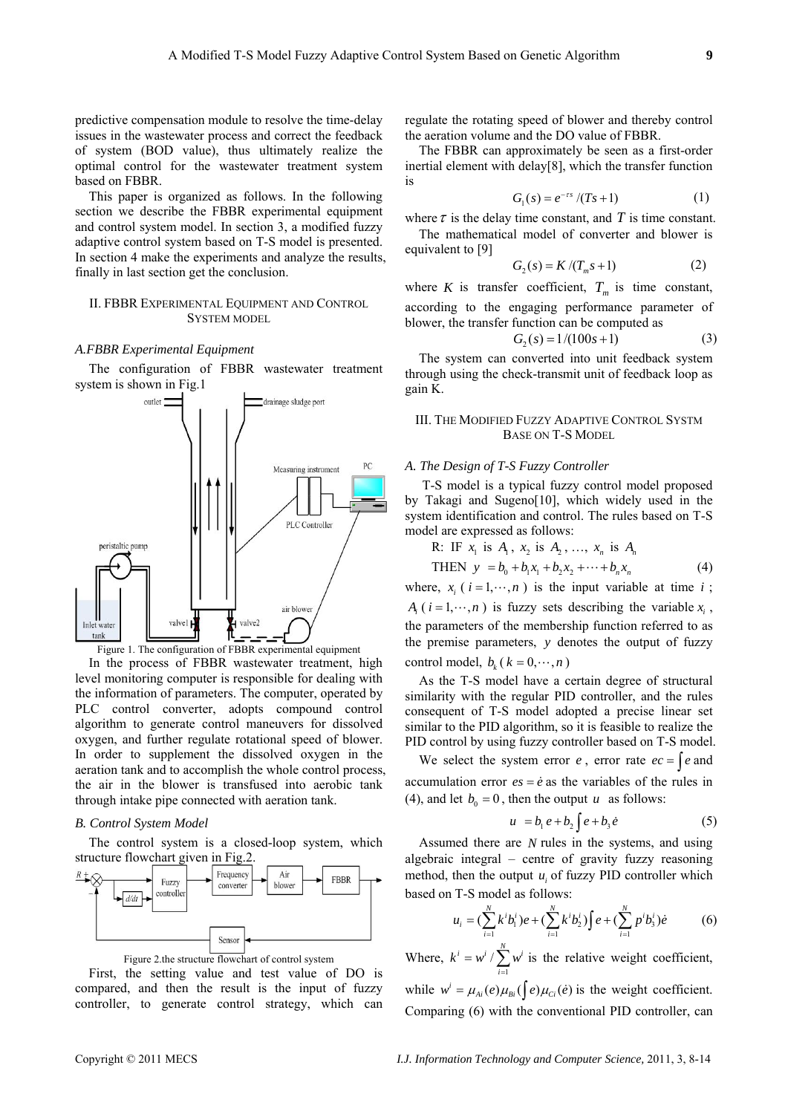predictive compensation module to resolve the time-delay issues in the wastewater process and correct the feedback of system (BOD value), thus ultimately realize the optimal control for the wastewater treatment system based on FBBR.

This paper is organized as follows. In the following section we describe the FBBR experimental equipment and control system model. In section 3, a modified fuzzy adaptive control system based on T-S model is presented. In section 4 make the experiments and analyze the results, finally in last section get the conclusion.

#### II. FBBR EXPERIMENTAL EQUIPMENT AND CONTROL SYSTEM MODEL

### *A.FBBR Experimental Equipment*

The configuration of FBBR wastewater treatment system is shown in Fig.1



Figure 1. The configuration of FBBR experimental equipment

In the process of FBBR wastewater treatment, high level monitoring computer is responsible for dealing with the information of parameters. The computer, operated by PLC control converter, adopts compound control algorithm to generate control maneuvers for dissolved oxygen, and further regulate rotational speed of blower. In order to supplement the dissolved oxygen in the aeration tank and to accomplish the whole control process, the air in the blower is transfused into aerobic tank through intake pipe connected with aeration tank.

#### *B. Control System Model*

The control system is a closed-loop system, which structure flowchart given in Fig.2.



Figure 2.the structure flowchart of control system

First, the setting value and test value of DO is compared, and then the result is the input of fuzzy controller, to generate control strategy, which can regulate the rotating speed of blower and thereby control the aeration volume and the DO value of FBBR.

The FBBR can approximately be seen as a first-order inertial element with delay[8], which the transfer function is

$$
G_1(s) = e^{-\tau s} / (Ts + 1) \tag{1}
$$

where  $\tau$  is the delay time constant, and  $T$  is time constant.

The mathematical model of converter and blower is equivalent to [9]

$$
G_2(s) = K/(T_m s + 1)
$$
 (2)

where *K* is transfer coefficient,  $T_m$  is time constant, according to the engaging performance parameter of blower, the transfer function can be computed as

$$
G_2(s) = 1/(100s+1)
$$
 (3)

The system can converted into unit feedback system through using the check-transmit unit of feedback loop as gain K.

### III. THE MODIFIED FUZZY ADAPTIVE CONTROL SYSTM BASE ON T-S MODEL

#### *A. The Design of T-S Fuzzy Controller*

 T-S model is a typical fuzzy control model proposed by Takagi and Sugeno[10], which widely used in the system identification and control. The rules based on T-S model are expressed as follows:

R: IF  $x_1$  is  $A_1$ ,  $x_2$  is  $A_2$ , ...,  $x_n$  is  $A_n$ 

THEN 
$$
y = b_0 + b_1 x_1 + b_2 x_2 + \dots + b_n x_n
$$
 (4)

where,  $x_i$  ( $i = 1, \dots, n$ ) is the input variable at time  $i$ ;  $A_i$  (  $i = 1, \dots, n$  ) is fuzzy sets describing the variable  $x_i$ , the parameters of the membership function referred to as the premise parameters, *y* denotes the output of fuzzy control model,  $b_k$  ( $k = 0, \dots, n$ )

As the T-S model have a certain degree of structural similarity with the regular PID controller, and the rules consequent of T-S model adopted a precise linear set similar to the PID algorithm, so it is feasible to realize the PID control by using fuzzy controller based on T-S model.

We select the system error  $e$ , error rate  $ec = \int e$  and accumulation error  $es = \dot{e}$  as the variables of the rules in (4), and let  $b_0 = 0$ , then the output *u* as follows:

$$
u = b_1 e + b_2 \int e + b_3 \dot{e}
$$
 (5)

Assumed there are *N* rules in the systems, and using algebraic integral – centre of gravity fuzzy reasoning method, then the output  $u_i$  of fuzzy PID controller which based on T-S model as follows:

$$
u_i = (\sum_{i=1}^N k^i b_i^i) e + (\sum_{i=1}^N k^i b_2^i) \int e + (\sum_{i=1}^N p^i b_3^i) e
$$
 (6)

Where,  $k^i = w^i / \sum_{i=1}^N w^i$ *i*  $k^i = w^i / \sum w^i$  $= w^{i}/\sum_{i=1} w^{i}$  is the relative weight coefficient,

while  $w^i = \mu_{Ai}(e) \mu_{Bi}(\int e) \mu_{Ci}(e)$  is the weight coefficient. Comparing (6) with the conventional PID controller, can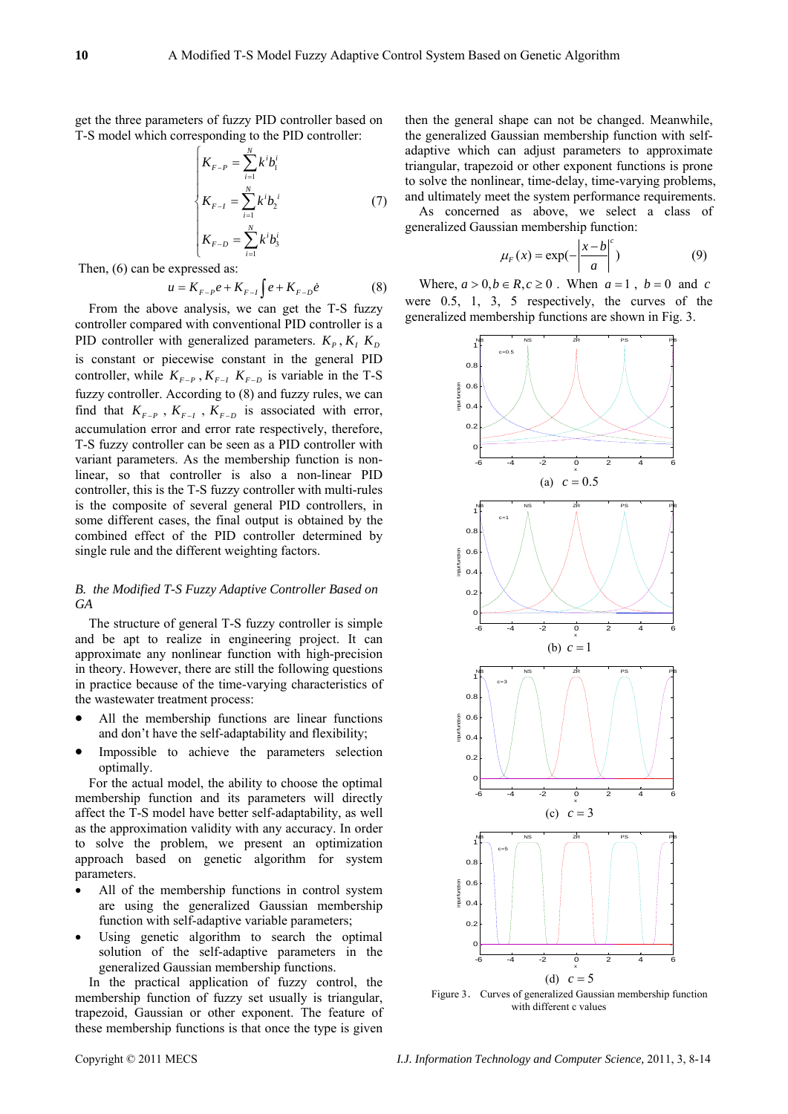get the three parameters of fuzzy PID controller based on T-S model which corresponding to the PID controller:

$$
\begin{cases}\nK_{F-P} = \sum_{i=1}^{N} k^i b_i^i \\
K_{F-I} = \sum_{i=1}^{N} k^i b_2^i \\
K_{F-D} = \sum_{i=1}^{N} k^i b_3^i\n\end{cases}
$$
\n(7)

Then, (6) can be expressed as:

$$
u = K_{F-P}e + K_{F-I} \int e + K_{F-D} \dot{e}
$$
 (8)

From the above analysis, we can get the T-S fuzzy controller compared with conventional PID controller is a PID controller with generalized parameters.  $K_p$ ,  $K_l$ ,  $K_p$ is constant or piecewise constant in the general PID controller, while  $K_{F-P}$ ,  $K_{F-I}$ ,  $K_{F-D}$  is variable in the T-S fuzzy controller. According to (8) and fuzzy rules, we can find that  $K_{F-P}$ ,  $K_{F-I}$ ,  $K_{F-D}$  is associated with error, accumulation error and error rate respectively, therefore, T-S fuzzy controller can be seen as a PID controller with variant parameters. As the membership function is nonlinear, so that controller is also a non-linear PID controller, this is the T-S fuzzy controller with multi-rules is the composite of several general PID controllers, in some different cases, the final output is obtained by the combined effect of the PID controller determined by single rule and the different weighting factors.

# *B. the Modified T-S Fuzzy Adaptive Controller Based on GA*

The structure of general T-S fuzzy controller is simple and be apt to realize in engineering project. It can approximate any nonlinear function with high-precision in theory. However, there are still the following questions in practice because of the time-varying characteristics of the wastewater treatment process:

- All the membership functions are linear functions and don't have the self-adaptability and flexibility;
- Impossible to achieve the parameters selection optimally.

For the actual model, the ability to choose the optimal membership function and its parameters will directly affect the T-S model have better self-adaptability, as well as the approximation validity with any accuracy. In order to solve the problem, we present an optimization approach based on genetic algorithm for system parameters.

- All of the membership functions in control system are using the generalized Gaussian membership function with self-adaptive variable parameters;
- Using genetic algorithm to search the optimal solution of the self-adaptive parameters in the generalized Gaussian membership functions.

In the practical application of fuzzy control, the membership function of fuzzy set usually is triangular, trapezoid, Gaussian or other exponent. The feature of these membership functions is that once the type is given

then the general shape can not be changed. Meanwhile, the generalized Gaussian membership function with selfadaptive which can adjust parameters to approximate triangular, trapezoid or other exponent functions is prone to solve the nonlinear, time-delay, time-varying problems, and ultimately meet the system performance requirements.

As concerned as above, we select a class of generalized Gaussian membership function:

$$
\mu_F(x) = \exp(-\left|\frac{x-b}{a}\right|^c)
$$
 (9)

Where,  $a > 0, b \in R, c \ge 0$ . When  $a = 1$ ,  $b = 0$  and *c* were 0.5, 1, 3, 5 respectively, the curves of the generalized membership functions are shown in Fig. 3.



Figure 3. Curves of generalized Gaussian membership function with different c values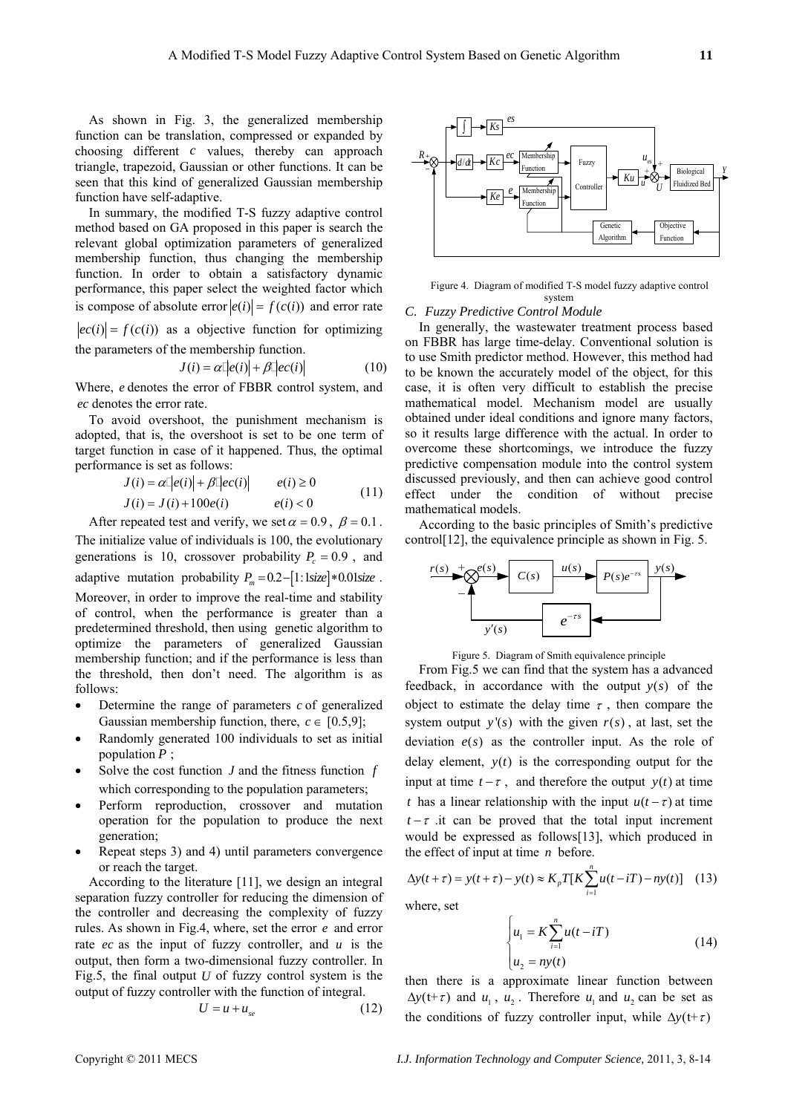As shown in Fig. 3, the generalized membership function can be translation, compressed or expanded by choosing different *c* values, thereby can approach triangle, trapezoid, Gaussian or other functions. It can be seen that this kind of generalized Gaussian membership function have self-adaptive.

In summary, the modified T-S fuzzy adaptive control method based on GA proposed in this paper is search the relevant global optimization parameters of generalized membership function, thus changing the membership function. In order to obtain a satisfactory dynamic performance, this paper select the weighted factor which is compose of absolute error  $|e(i)| = f(c(i))$  and error rate  $|ec(i)| = f(c(i))$  as a objective function for optimizing the parameters of the membership function.

$$
J(i) = \alpha \left[ |e(i)| + \beta \left[ |e(c(i)| \right] \right] \tag{10}
$$

Where, *e* denotes the error of FBBR control system, and *ec* denotes the error rate.

To avoid overshoot, the punishment mechanism is adopted, that is, the overshoot is set to be one term of target function in case of it happened. Thus, the optimal performance is set as follows:

$$
J(i) = \alpha \left| \left| e(i) \right| + \beta \left| \left| e(c(i)) \right| \right| \qquad e(i) \ge 0
$$
  
\n
$$
J(i) = J(i) + 100e(i) \qquad e(i) < 0 \qquad (11)
$$

After repeated test and verify, we set  $\alpha = 0.9$ ,  $\beta = 0.1$ . The initialize value of individuals is 100, the evolutionary generations is 10, crossover probability  $P_c = 0.9$ , and adaptive mutation probability  $P_m = 0.2 - [1:1 \text{ size}] * 0.01 \text{ size}$ . Moreover, in order to improve the real-time and stability of control, when the performance is greater than a predetermined threshold, then using genetic algorithm to optimize the parameters of generalized Gaussian membership function; and if the performance is less than the threshold, then don't need. The algorithm is as follows:

- Determine the range of parameters *c* of generalized Gaussian membership function, there,  $c \in [0.5, 9]$ ;
- Randomly generated 100 individuals to set as initial population *P* ;
- Solve the cost function *J* and the fitness function *f* which corresponding to the population parameters;
- Perform reproduction, crossover and mutation operation for the population to produce the next generation;
- Repeat steps 3) and 4) until parameters convergence or reach the target.

According to the literature [11], we design an integral separation fuzzy controller for reducing the dimension of the controller and decreasing the complexity of fuzzy rules. As shown in Fig.4, where, set the error *e* and error rate *ec* as the input of fuzzy controller, and *u* is the output, then form a two-dimensional fuzzy controller. In Fig.5, the final output *U* of fuzzy control system is the output of fuzzy controller with the function of integral.

$$
U = u + u_{se} \tag{12}
$$



Figure 4. Diagram of modified T-S model fuzzy adaptive control system

# *C. Fuzzy Predictive Control Module*

In generally, the wastewater treatment process based on FBBR has large time-delay. Conventional solution is to use Smith predictor method. However, this method had to be known the accurately model of the object, for this case, it is often very difficult to establish the precise mathematical model. Mechanism model are usually obtained under ideal conditions and ignore many factors, so it results large difference with the actual. In order to overcome these shortcomings, we introduce the fuzzy predictive compensation module into the control system discussed previously, and then can achieve good control effect under the condition of without precise mathematical models.

According to the basic principles of Smith's predictive control[12], the equivalence principle as shown in Fig. 5.



Figure 5. Diagram of Smith equivalence principle

From Fig.5 we can find that the system has a advanced feedback, in accordance with the output  $y(s)$  of the object to estimate the delay time  $\tau$ , then compare the system output  $y'(s)$  with the given  $r(s)$ , at last, set the deviation  $e(s)$  as the controller input. As the role of delay element,  $y(t)$  is the corresponding output for the input at time  $t - \tau$ , and therefore the output *y(t)* at time *t* has a linear relationship with the input  $u(t - \tau)$  at time  $t - \tau$  .it can be proved that the total input increment would be expressed as follows[13], which produced in the effect of input at time *n* before.

$$
\Delta y(t+\tau) = y(t+\tau) - y(t) \approx K_p T[K \sum_{i=1}^{n} u(t-iT) - ny(t)] \quad (13)
$$

where, set

$$
\begin{cases} u_1 = K \sum_{i=1}^n u(t - iT) \\ u_2 = ny(t) \end{cases}
$$
 (14)

then there is a approximate linear function between  $\Delta y(t+\tau)$  and  $u_1$ ,  $u_2$ . Therefore  $u_1$  and  $u_2$  can be set as the conditions of fuzzy controller input, while  $\Delta y(t+\tau)$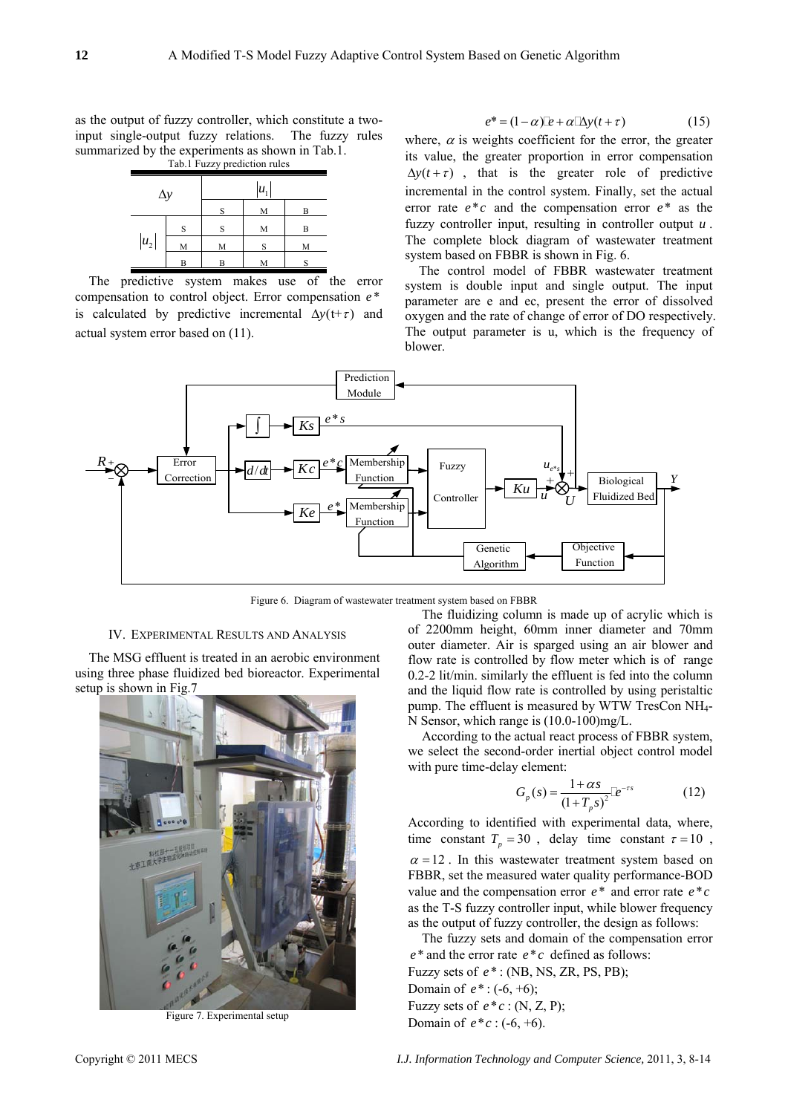as the output of fuzzy controller, which constitute a twoinput single-output fuzzy relations. The fuzzy rules summarized by the experiments as shown in Tab.1.

Tab.1 Fuzzy prediction rules



The predictive system makes use of the error compensation to control object. Error compensation *e* \* is calculated by predictive incremental  $\Delta y(t+\tau)$  and actual system error based on (11).

$$
e^* = (1 - \alpha)\mathbb{L} + \alpha \mathbb{L}y(t + \tau) \tag{15}
$$

where,  $\alpha$  is weights coefficient for the error, the greater its value, the greater proportion in error compensation  $\Delta y(t+\tau)$ , that is the greater role of predictive incremental in the control system. Finally, set the actual error rate  $e^*c$  and the compensation error  $e^*$  as the fuzzy controller input, resulting in controller output *u* . The complete block diagram of wastewater treatment system based on FBBR is shown in Fig. 6.

The control model of FBBR wastewater treatment system is double input and single output. The input parameter are e and ec, present the error of dissolved oxygen and the rate of change of error of DO respectively. The output parameter is u, which is the frequency of blower.



Figure 6. Diagram of wastewater treatment system based on FBBR

#### IV. EXPERIMENTAL RESULTS AND ANALYSIS

The MSG effluent is treated in an aerobic environment using three phase fluidized bed bioreactor. Experimental setup is shown in Fig.7



Figure 7. Experimental setup

The fluidizing column is made up of acrylic which is of 2200mm height, 60mm inner diameter and 70mm outer diameter. Air is sparged using an air blower and flow rate is controlled by flow meter which is of range 0.2-2 lit/min. similarly the effluent is fed into the column and the liquid flow rate is controlled by using peristaltic pump. The effluent is measured by WTW TresCon NH4- N Sensor, which range is (10.0-100)mg/L.

According to the actual react process of FBBR system, we select the second-order inertial object control model with pure time-delay element:

$$
G_p(s) = \frac{1 + \alpha s}{(1 + T_p s)^2} [e^{-rs} \tag{12}
$$

According to identified with experimental data, where, time constant  $T_p = 30$ , delay time constant  $\tau = 10$ ,  $\alpha = 12$ . In this wastewater treatment system based on FBBR, set the measured water quality performance-BOD value and the compensation error  $e^*$  and error rate  $e^*c$ as the T-S fuzzy controller input, while blower frequency as the output of fuzzy controller, the design as follows:

The fuzzy sets and domain of the compensation error  $e^*$  and the error rate  $e^*c$  defined as follows: Fuzzy sets of *e*\* : (NB, NS, ZR, PS, PB); Domain of  $e^*$  : (-6, +6); Fuzzy sets of  $e^*c$  : (N, Z, P); Domain of  $e^*c$  : (-6, +6).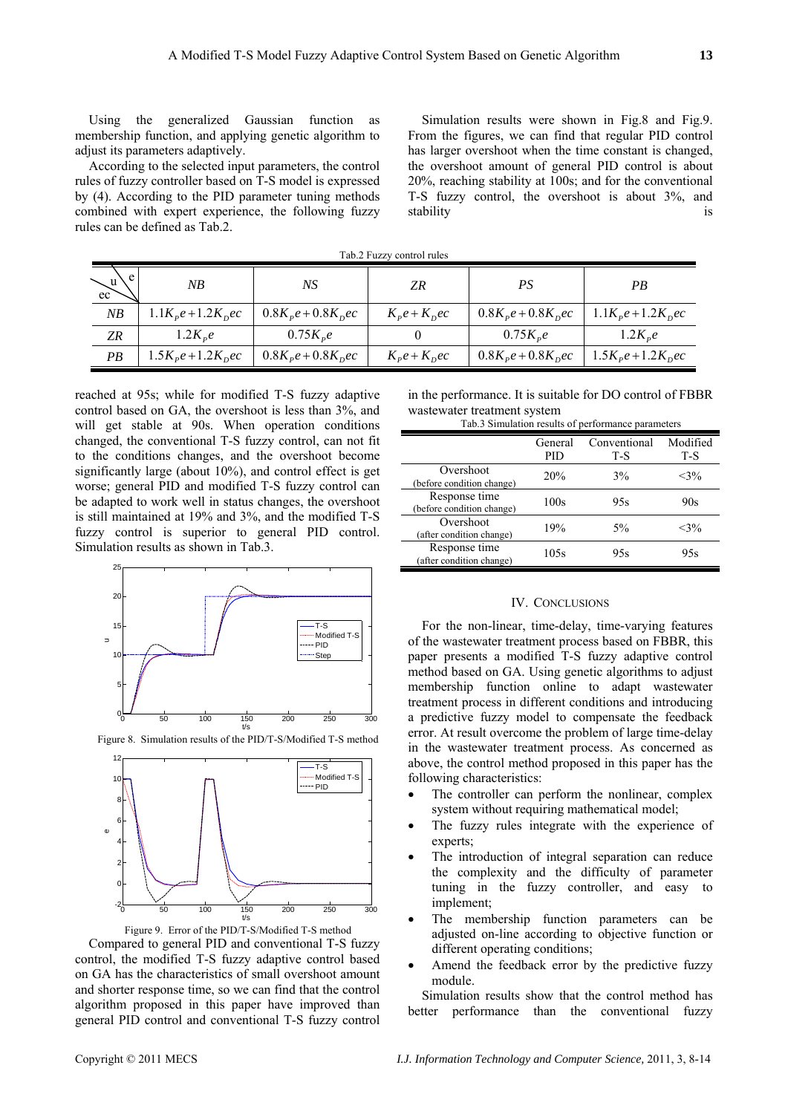Using the generalized Gaussian function as membership function, and applying genetic algorithm to adjust its parameters adaptively.

According to the selected input parameters, the control rules of fuzzy controller based on T-S model is expressed by (4). According to the PID parameter tuning methods combined with expert experience, the following fuzzy rules can be defined as Tab.2.

Simulation results were shown in Fig.8 and Fig.9. From the figures, we can find that regular PID control has larger overshoot when the time constant is changed, the overshoot amount of general PID control is about 20%, reaching stability at 100s; and for the conventional T-S fuzzy control, the overshoot is about 3%, and stability is

| Tab.2 Fuzzy control rules |                          |                          |                   |                          |                          |  |  |
|---------------------------|--------------------------|--------------------------|-------------------|--------------------------|--------------------------|--|--|
| $\searrow^u$              | NΒ                       | NS                       | ZR                | PS                       | PВ                       |  |  |
| NB                        | $1.1K_{p}e + 1.2K_{p}ec$ | $0.8K_{p}e + 0.8K_{p}ec$ | $K_p e + K_p e c$ | $0.8K_{p}e + 0.8K_{p}ec$ | $1.1K_{p}e + 1.2K_{p}ec$ |  |  |
| <b>ZR</b>                 | $1.2K_{p}e$              | $0.75K_{p}e$             |                   | $0.75K_{p}e$             | $1.2K_{p}e$              |  |  |
| PB                        | $1.5K_{p}e+1.2K_{p}ec$   | $0.8K_{p}e + 0.8K_{p}ec$ | $K_p e + K_p e c$ | $0.8K_{p}e + 0.8K_{p}ec$ | $1.5K_{p}e+1.2K_{p}ec$   |  |  |

reached at 95s; while for modified T-S fuzzy adaptive control based on GA, the overshoot is less than 3%, and will get stable at 90s. When operation conditions changed, the conventional T-S fuzzy control, can not fit to the conditions changes, and the overshoot become significantly large (about 10%), and control effect is get worse; general PID and modified T-S fuzzy control can be adapted to work well in status changes, the overshoot is still maintained at 19% and 3%, and the modified T-S fuzzy control is superior to general PID control. Simulation results as shown in Tab.3.



Figure 8. Simulation results of the PID/T-S/Modified T-S method



Figure 9. Error of the PID/T-S/Modified T-S method Compared to general PID and conventional T-S fuzzy control, the modified T-S fuzzy adaptive control based on GA has the characteristics of small overshoot amount and shorter response time, so we can find that the control algorithm proposed in this paper have improved than general PID control and conventional T-S fuzzy control

in the performance. It is suitable for DO control of FBBR wastewater treatment system

| Tab.3 Simulation results of performance parameters |                |                     |                 |  |  |
|----------------------------------------------------|----------------|---------------------|-----------------|--|--|
|                                                    | General<br>PID | Conventional<br>T-S | Modified<br>T-S |  |  |
| Overshoot<br>(before condition change)             | 20%            | 3%                  | $<$ 3%          |  |  |
| Response time<br>(before condition change)         | 100s           | 95s                 | 90s             |  |  |
| Overshoot<br>(after condition change)              | 19%            | 5%                  | $<$ 3%          |  |  |
| Response time<br>(after condition change)          | 105s           | 95s                 | 95s             |  |  |

## IV. CONCLUSIONS

For the non-linear, time-delay, time-varying features of the wastewater treatment process based on FBBR, this paper presents a modified T-S fuzzy adaptive control method based on GA. Using genetic algorithms to adjust membership function online to adapt wastewater treatment process in different conditions and introducing a predictive fuzzy model to compensate the feedback error. At result overcome the problem of large time-delay in the wastewater treatment process. As concerned as above, the control method proposed in this paper has the following characteristics:

- The controller can perform the nonlinear, complex system without requiring mathematical model;
- The fuzzy rules integrate with the experience of experts;
- The introduction of integral separation can reduce the complexity and the difficulty of parameter tuning in the fuzzy controller, and easy to implement;
- The membership function parameters can be adjusted on-line according to objective function or different operating conditions;
- Amend the feedback error by the predictive fuzzy module.

Simulation results show that the control method has better performance than the conventional fuzzy